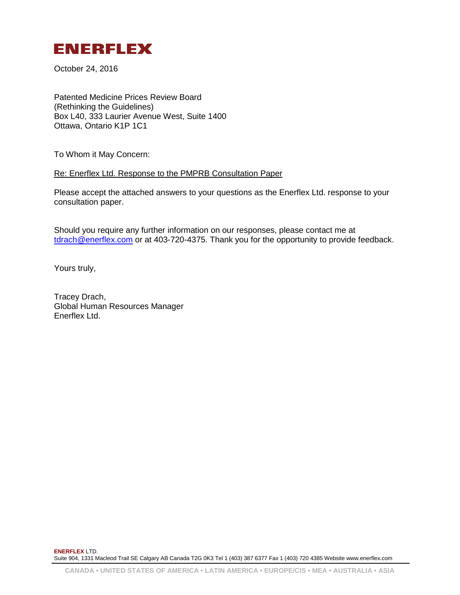

October 24, 2016

Patented Medicine Prices Review Board (Rethinking the Guidelines) Box L40, 333 Laurier Avenue West, Suite 1400 Ottawa, Ontario K1P 1C1

To Whom it May Concern:

Re: Enerflex Ltd. Response to the PMPRB Consultation Paper

Please accept the attached answers to your questions as the Enerflex Ltd. response to your consultation paper.

Should you require any further information on our responses, please contact me at [tdrach@enerflex.com](mailto:tdrach@enerflex.com) or at 403-720-4375. Thank you for the opportunity to provide feedback.

Yours truly,

Tracey Drach, Global Human Resources Manager Enerflex Ltd.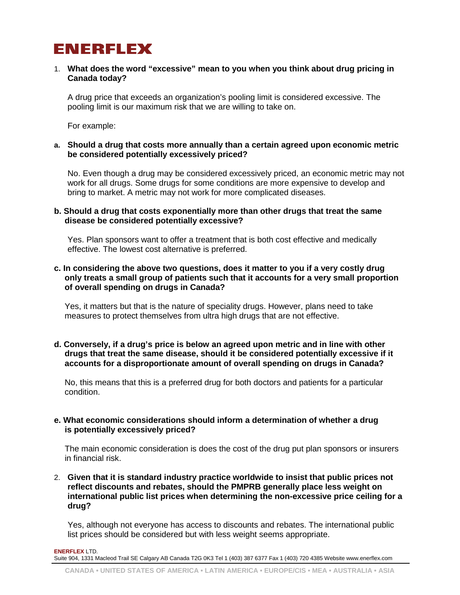## ENERFLEX

#### 1. **What does the word "excessive" mean to you when you think about drug pricing in Canada today?**

A drug price that exceeds an organization's pooling limit is considered excessive. The pooling limit is our maximum risk that we are willing to take on.

For example:

#### **a. Should a drug that costs more annually than a certain agreed upon economic metric be considered potentially excessively priced?**

No. Even though a drug may be considered excessively priced, an economic metric may not work for all drugs. Some drugs for some conditions are more expensive to develop and bring to market. A metric may not work for more complicated diseases.

#### **b. Should a drug that costs exponentially more than other drugs that treat the same disease be considered potentially excessive?**

Yes. Plan sponsors want to offer a treatment that is both cost effective and medically effective. The lowest cost alternative is preferred.

#### **c. In considering the above two questions, does it matter to you if a very costly drug only treats a small group of patients such that it accounts for a very small proportion of overall spending on drugs in Canada?**

Yes, it matters but that is the nature of speciality drugs. However, plans need to take measures to protect themselves from ultra high drugs that are not effective.

#### **d. Conversely, if a drug's price is below an agreed upon metric and in line with other drugs that treat the same disease, should it be considered potentially excessive if it accounts for a disproportionate amount of overall spending on drugs in Canada?**

No, this means that this is a preferred drug for both doctors and patients for a particular condition.

### **e. What economic considerations should inform a determination of whether a drug is potentially excessively priced?**

The main economic consideration is does the cost of the drug put plan sponsors or insurers in financial risk.

2. **Given that it is standard industry practice worldwide to insist that public prices not reflect discounts and rebates, should the PMPRB generally place less weight on international public list prices when determining the non-excessive price ceiling for a drug?**

Yes, although not everyone has access to discounts and rebates. The international public list prices should be considered but with less weight seems appropriate.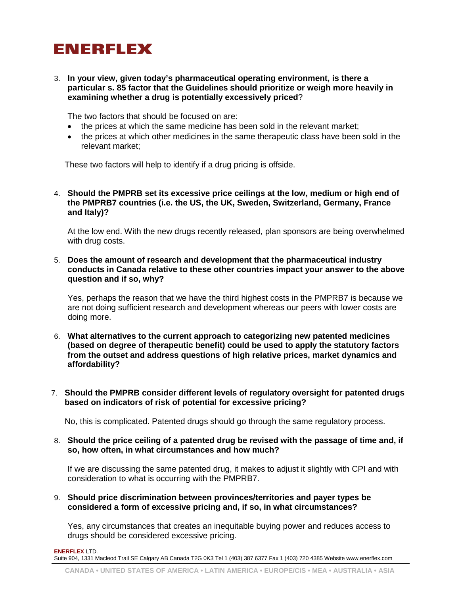# **ENERFLEX**

3. **In your view, given today's pharmaceutical operating environment, is there a particular s. 85 factor that the Guidelines should prioritize or weigh more heavily in examining whether a drug is potentially excessively priced**?

The two factors that should be focused on are:

- the prices at which the same medicine has been sold in the relevant market;
- the prices at which other medicines in the same therapeutic class have been sold in the relevant market;

These two factors will help to identify if a drug pricing is offside.

4. **Should the PMPRB set its excessive price ceilings at the low, medium or high end of the PMPRB7 countries (i.e. the US, the UK, Sweden, Switzerland, Germany, France and Italy)?**

At the low end. With the new drugs recently released, plan sponsors are being overwhelmed with drug costs.

5. **Does the amount of research and development that the pharmaceutical industry conducts in Canada relative to these other countries impact your answer to the above question and if so, why?**

Yes, perhaps the reason that we have the third highest costs in the PMPRB7 is because we are not doing sufficient research and development whereas our peers with lower costs are doing more.

- 6. **What alternatives to the current approach to categorizing new patented medicines (based on degree of therapeutic benefit) could be used to apply the statutory factors from the outset and address questions of high relative prices, market dynamics and affordability?**
- 7. **Should the PMPRB consider different levels of regulatory oversight for patented drugs based on indicators of risk of potential for excessive pricing?**

No, this is complicated. Patented drugs should go through the same regulatory process.

#### 8. **Should the price ceiling of a patented drug be revised with the passage of time and, if so, how often, in what circumstances and how much?**

If we are discussing the same patented drug, it makes to adjust it slightly with CPI and with consideration to what is occurring with the PMPRB7.

9. **Should price discrimination between provinces/territories and payer types be considered a form of excessive pricing and, if so, in what circumstances?**

Yes, any circumstances that creates an inequitable buying power and reduces access to drugs should be considered excessive pricing.